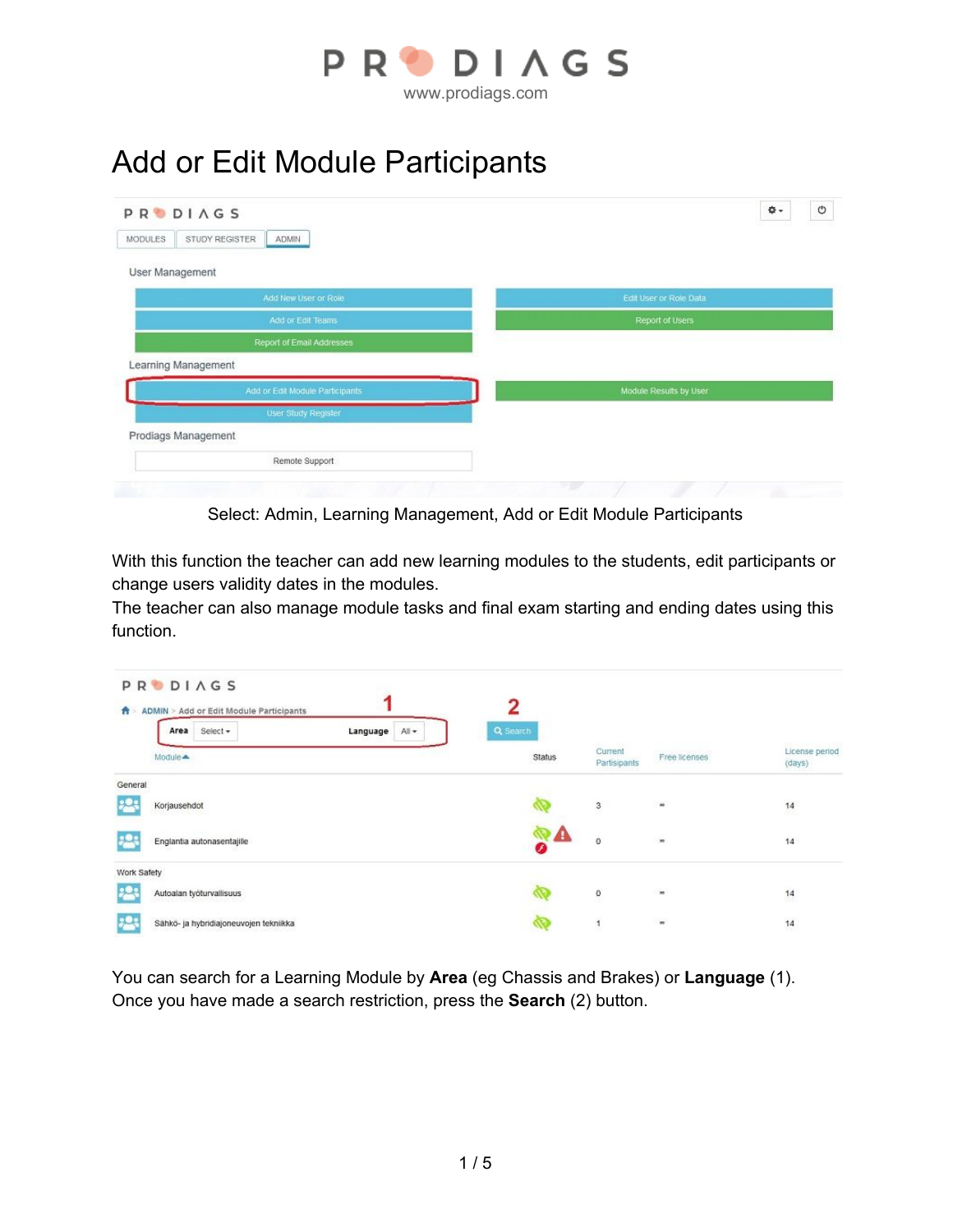

## Add or Edit Module Participants

| PRODIAGS                           | $_{\circ}$<br>۰\$      |
|------------------------------------|------------------------|
| STUDY REGISTER<br>MODULES<br>ADMIN |                        |
| User Management                    |                        |
| Add New User or Role               | Edit User or Role Data |
| Add or Edit Teams                  | Report of Users        |
| Report of Email Addresses          |                        |
| Learning Management                |                        |
| Add or Edit Module Participants    | Module Results by User |
| User Study Register                |                        |
|                                    |                        |
| Prodiags Management                |                        |

Select: Admin, Learning Management, Add or Edit Module Participants

With this function the teacher can add new learning modules to the students, edit participants or change users validity dates in the modules.

The teacher can also manage module tasks and final exam starting and ending dates using this function.

| n           | <b>PRODIAGS</b><br>ADMIN > Add or Edit Module Participants<br>Select -<br>Area | All +<br>Language | 2<br>Q Search       |                         |               |                          |
|-------------|--------------------------------------------------------------------------------|-------------------|---------------------|-------------------------|---------------|--------------------------|
|             | Module <sup>4</sup>                                                            |                   | Status              | Current<br>Partisipants | Free licenses | License period<br>(days) |
| General     |                                                                                |                   |                     |                         |               |                          |
|             | Korjausehdot                                                                   |                   |                     | 3                       | sa.           | 14                       |
|             | Englantia autonasentajille                                                     |                   | $\frac{d}{dt}$<br>◕ | 0                       | œ             | 14                       |
| Work Safety |                                                                                |                   |                     |                         |               |                          |
|             | Autoalan työturvallisuus                                                       |                   |                     | $^{\circ}$              | $\infty$      | 14                       |
|             | Sähkö- ja hybridiajoneuvojen tekniikka                                         |                   |                     | $\ddot{\phantom{a}}$    | $\omega$      | 14                       |

You can search for a Learning Module by **Area** (eg Chassis and Brakes) or **Language** (1). Once you have made a search restriction, press the **Search** (2) button.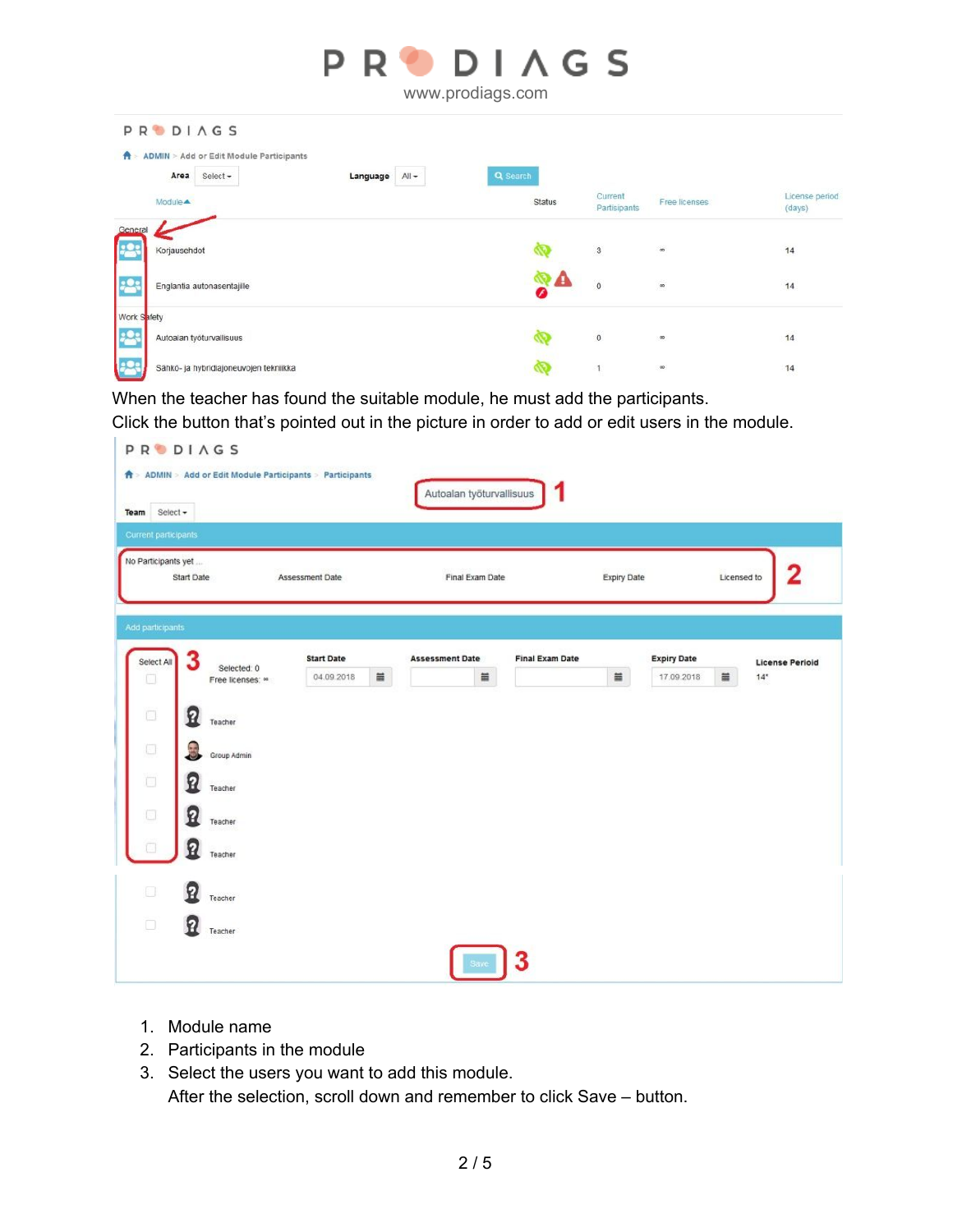|             | PRODIAGS<br>www.prodiags.com                                                     |               |                         |               |                          |  |  |  |  |
|-------------|----------------------------------------------------------------------------------|---------------|-------------------------|---------------|--------------------------|--|--|--|--|
|             | <b>PRODIAGS</b>                                                                  |               |                         |               |                          |  |  |  |  |
| 音           | ADMIN > Add or Edit Module Participants<br>Area<br>Select +<br>Language<br>All - | Q Search      |                         |               |                          |  |  |  |  |
|             | Module <b>A</b>                                                                  | <b>Status</b> | Current<br>Partisipants | Free licenses | License period<br>(days) |  |  |  |  |
| General     | Korjausehdot                                                                     |               | $\mathbf{3}$            | $\infty$      | 14                       |  |  |  |  |
|             | Englantia autonasentajille                                                       |               | $\mathbf{0}$            | 80            | 14                       |  |  |  |  |
| Work Safety |                                                                                  |               |                         |               |                          |  |  |  |  |
|             | Autoalan työturvallisuus                                                         |               | $\mathbf{0}$            | 90            | 14                       |  |  |  |  |
|             | Sähkö- ja hybridiajoneuvojen tekniikka                                           |               | 1                       | 00            | 14                       |  |  |  |  |

When the teacher has found the suitable module, he must add the participants.

Click the button that's pointed out in the picture in order to add or edit users in the module.

| Current participants |                   |                                 |                                 |   |                             |                        |             |                                              |                                 |
|----------------------|-------------------|---------------------------------|---------------------------------|---|-----------------------------|------------------------|-------------|----------------------------------------------|---------------------------------|
| No Participants yet  | Start Date        |                                 | Assessment Date                 |   | Final Exam Date             |                        | Expiry Date |                                              | 2<br>Licensed to                |
| Add participants     |                   |                                 |                                 |   |                             |                        |             |                                              |                                 |
| Select All<br>O      | 3                 | Selected: 0<br>Free licenses: « | <b>Start Date</b><br>04.09.2018 | ä | <b>Assessment Date</b><br>首 | <b>Final Exam Date</b> | $\equiv$    | <b>Expiry Date</b><br>$\equiv$<br>17.09.2018 | <b>License Perioid</b><br>$14*$ |
| $\Box$               | Ω                 | Teacher                         |                                 |   |                             |                        |             |                                              |                                 |
| $\Box$               | 3                 | Group Admin                     |                                 |   |                             |                        |             |                                              |                                 |
| Ò                    | Я                 | Teacher                         |                                 |   |                             |                        |             |                                              |                                 |
| $\square$            | 요                 | Teacher                         |                                 |   |                             |                        |             |                                              |                                 |
| a                    | 2                 | Teacher                         |                                 |   |                             |                        |             |                                              |                                 |
| $\Box$               | P                 | Teacher                         |                                 |   |                             |                        |             |                                              |                                 |
| Ò                    | $\mathbf{\Omega}$ | Teacher                         |                                 |   |                             |                        |             |                                              |                                 |

- 1. Module name
- 2. Participants in the module
- 3. Select the users you want to add this module. After the selection, scroll down and remember to click Save – button.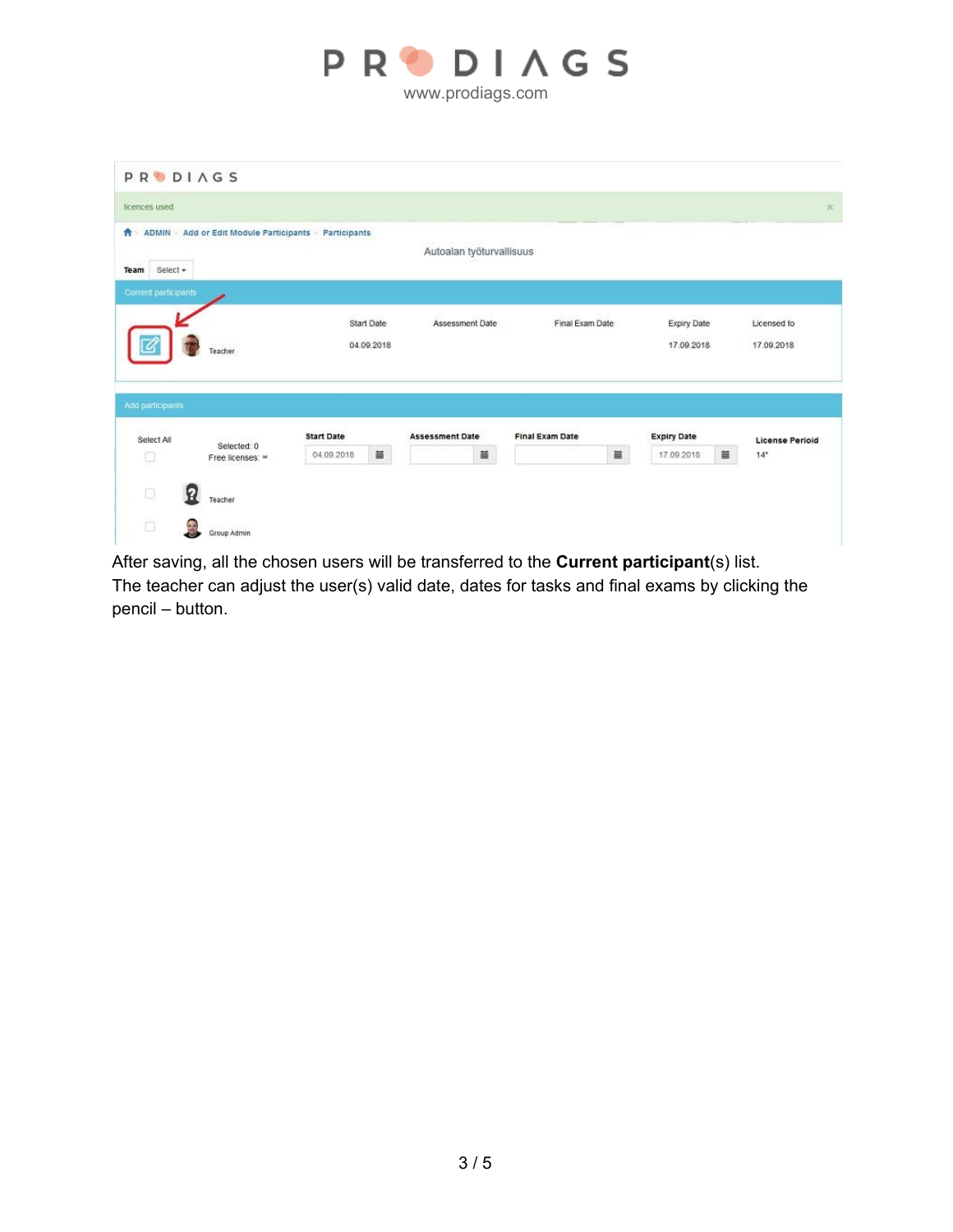

| licences used        |                                           |                   |                   |                          |                        |                        |                        |
|----------------------|-------------------------------------------|-------------------|-------------------|--------------------------|------------------------|------------------------|------------------------|
| A                    | ADMIN > Add or Edit Module Participants > | Participants      |                   |                          |                        |                        |                        |
|                      |                                           |                   |                   | Autoalan työturvallisuus |                        |                        |                        |
| Select +<br>Team     |                                           |                   |                   |                          |                        |                        |                        |
| Current participants |                                           |                   |                   |                          |                        |                        |                        |
|                      |                                           |                   | <b>Start Date</b> | Assessment Date          | Final Exam Date        | Expiry Date            | Licensed to            |
|                      |                                           |                   | 04.09.2018        |                          |                        |                        |                        |
|                      |                                           |                   |                   |                          |                        |                        |                        |
|                      | Teacher                                   |                   |                   |                          |                        | 17.09.2018             | 17.09.2018             |
|                      |                                           |                   |                   |                          |                        |                        |                        |
|                      |                                           |                   |                   |                          |                        |                        |                        |
|                      |                                           |                   |                   |                          |                        |                        |                        |
| Select All           |                                           | <b>Start Date</b> |                   | <b>Assessment Date</b>   | <b>Final Exam Date</b> | <b>Expiry Date</b>     | <b>License Perioid</b> |
| 0                    | Selected: 0<br>Free licenses: «           | 04.09.2018        | ä                 | ä                        | $\equiv$               | $\equiv$<br>17.09.2018 | 14 <sup>°</sup>        |
| Add participants     |                                           |                   |                   |                          |                        |                        |                        |
| $\Box$               | Ω<br>Teacher                              |                   |                   |                          |                        |                        |                        |
| Ō                    | 3                                         |                   |                   |                          |                        |                        |                        |

After saving, all the chosen users will be transferred to the **Current participant**(s) list. The teacher can adjust the user(s) valid date, dates for tasks and final exams by clicking the pencil – button.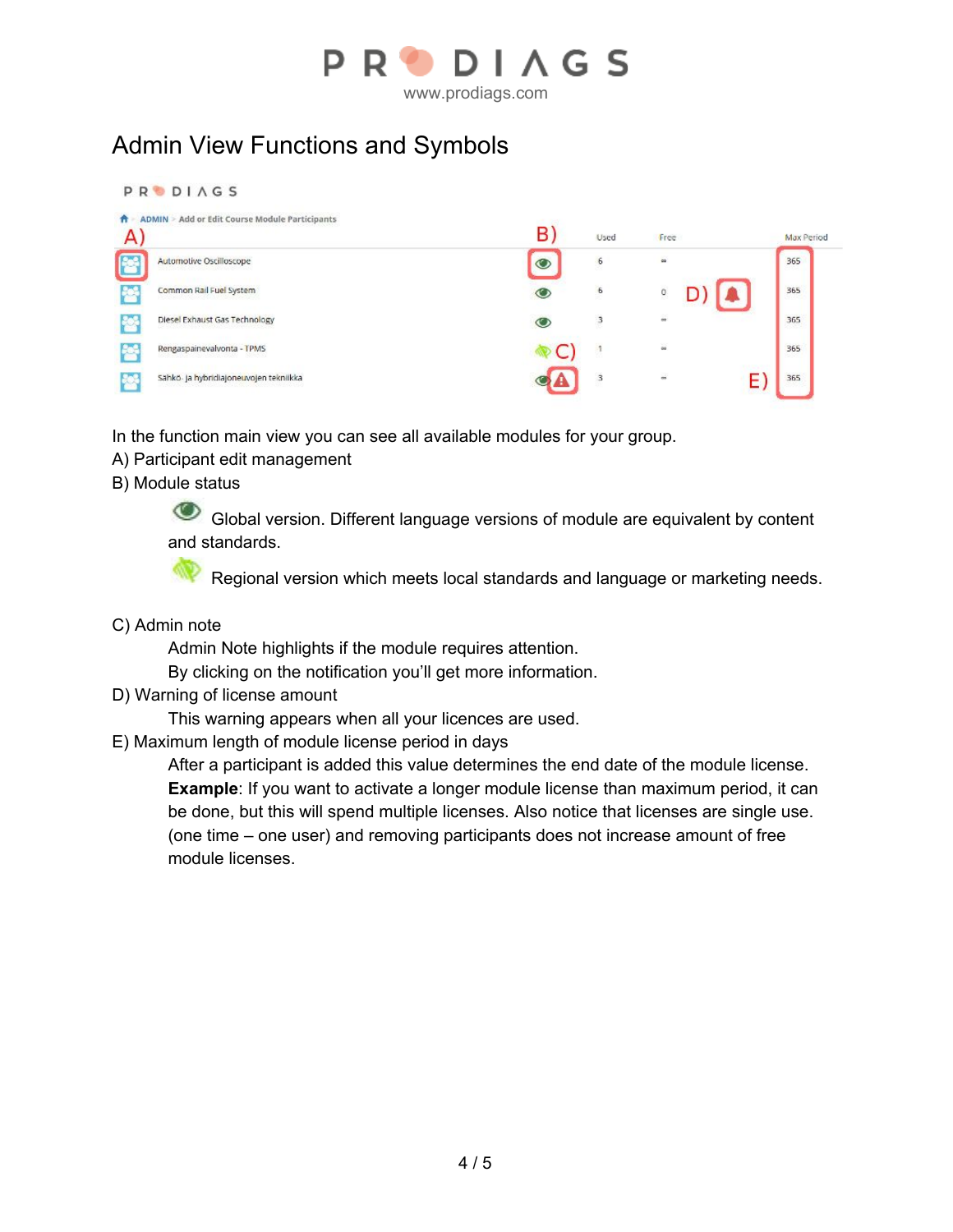

Admin View Functions and Symbols

**PRODIAGS** A ADMIN > Add or Edit Course Module Participants B) A) Used Free Max Period Automotive Oscilloscope  $\bullet$  $\overline{6}$ 50 365 Common Rail Fuel System  $6$ 365  $\bullet$  $\ddot{\text{o}}$ Diesel Exhaust Gas Technology 365 3 Rengaspainevalvonta - TPMS 365 Sähkö- ja <mark>h</mark>ybridiajoneuvojen tekniikka  $\overline{3}$ 365 E)

In the function main view you can see all available modules for your group.

- A) Participant edit management
- B) Module status

Global version. Different language versions of module are equivalent by content and standards.

⋘ Regional version which meets local standards and language or marketing needs.

C) Admin note

Admin Note highlights if the module requires attention.

By clicking on the notification you'll get more information.

D) Warning of license amount

This warning appears when all your licences are used.

E) Maximum length of module license period in days

After a participant is added this value determines the end date of the module license. **Example**: If you want to activate a longer module license than maximum period, it can be done, but this will spend multiple licenses. Also notice that licenses are single use. (one time – one user) and removing participants does not increase amount of free module licenses.